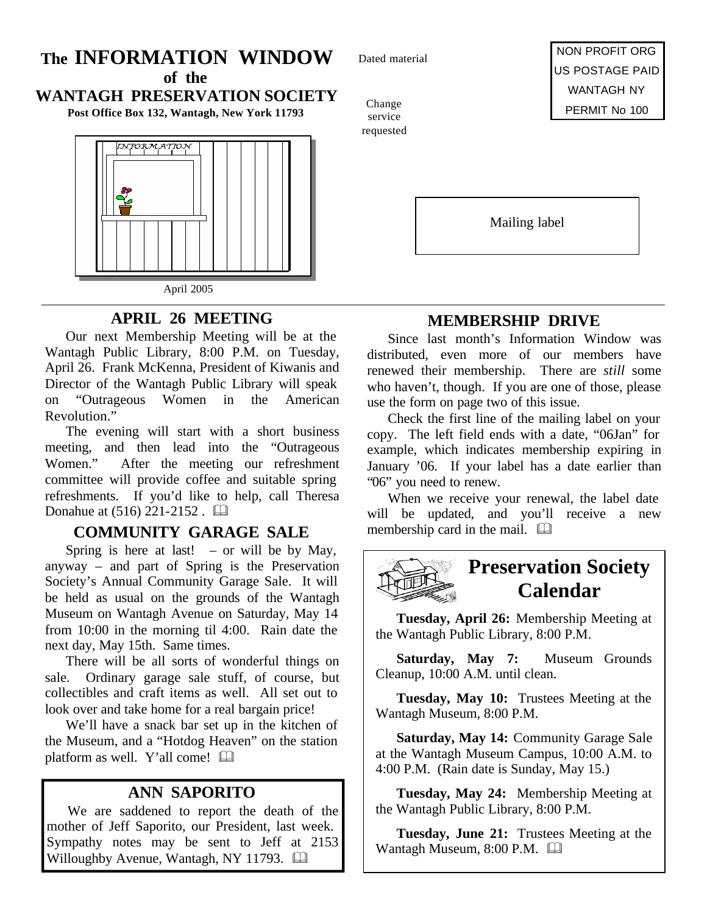## **The INFORMATION WINDOW**

**of the WANTAGH PRESERVATION SOCIETY**

**Post Office Box 132, Wantagh, New York 11793**



**APRIL 26 MEETING**

Our next Membership Meeting will be at the Wantagh Public Library, 8:00 P.M. on Tuesday, April 26. Frank McKenna, President of Kiwanis and Director of the Wantagh Public Library will speak on "Outrageous Women in the American Revolution."

The evening will start with a short business meeting, and then lead into the "Outrageous Women." After the meeting our refreshment committee will provide coffee and suitable spring refreshments. If you'd like to help, call Theresa Donahue at  $(516)$  221-2152.  $\Box$ 

## **COMMUNITY GARAGE SALE** membership card in the mail.  $\Box$

Spring is here at last! – or will be by May, anyway – and part of Spring is the Preservation Society's Annual Community Garage Sale. It will be held as usual on the grounds of the Wantagh Museum on Wantagh Avenue on Saturday, May 14 from 10:00 in the morning til 4:00. Rain date the next day, May 15th. Same times.

There will be all sorts of wonderful things on sale. Ordinary garage sale stuff, of course, but collectibles and craft items as well. All set out to look over and take home for a real bargain price!

We'll have a snack bar set up in the kitchen of the Museum, and a "Hotdog Heaven" on the station platform as well. Y'all come!  $\Box$ 

## **ANN SAPORITO**

We are saddened to report the death of the mother of Jeff Saporito, our President, last week. Sympathy notes may be sent to Jeff at 2153 Willoughby Avenue, Wantagh, NY 11793.  $\Box$ 

Dated material

Change service requested

NON PROFIT ORG US POSTAGE PAID WANTAGH NY PERMIT No 100

Mailing label

## **MEMBERSHIP DRIVE**

Since last month's Information Window was distributed, even more of our members have renewed their membership. There are *still* some who haven't, though. If you are one of those, please use the form on page two of this issue.

Check the first line of the mailing label on your copy. The left field ends with a date, "06Jan" for example, which indicates membership expiring in January '06. If your label has a date earlier than "06" you need to renew.

When we receive your renewal, the label date will be updated, and you'll receive a new



**Tuesday, April 26:** Membership Meeting at the Wantagh Public Library, 8:00 P.M.

**Saturday, May 7:** Museum Grounds Cleanup, 10:00 A.M. until clean.

**Tuesday, May 10:** Trustees Meeting at the Wantagh Museum, 8:00 P.M.

**Saturday, May 14:** Community Garage Sale at the Wantagh Museum Campus, 10:00 A.M. to 4:00 P.M. (Rain date is Sunday, May 15.)

**Tuesday, May 24:** Membership Meeting at the Wantagh Public Library, 8:00 P.M.

**Tuesday, June 21:** Trustees Meeting at the Wantagh Museum, 8:00 P.M.  $\Box$